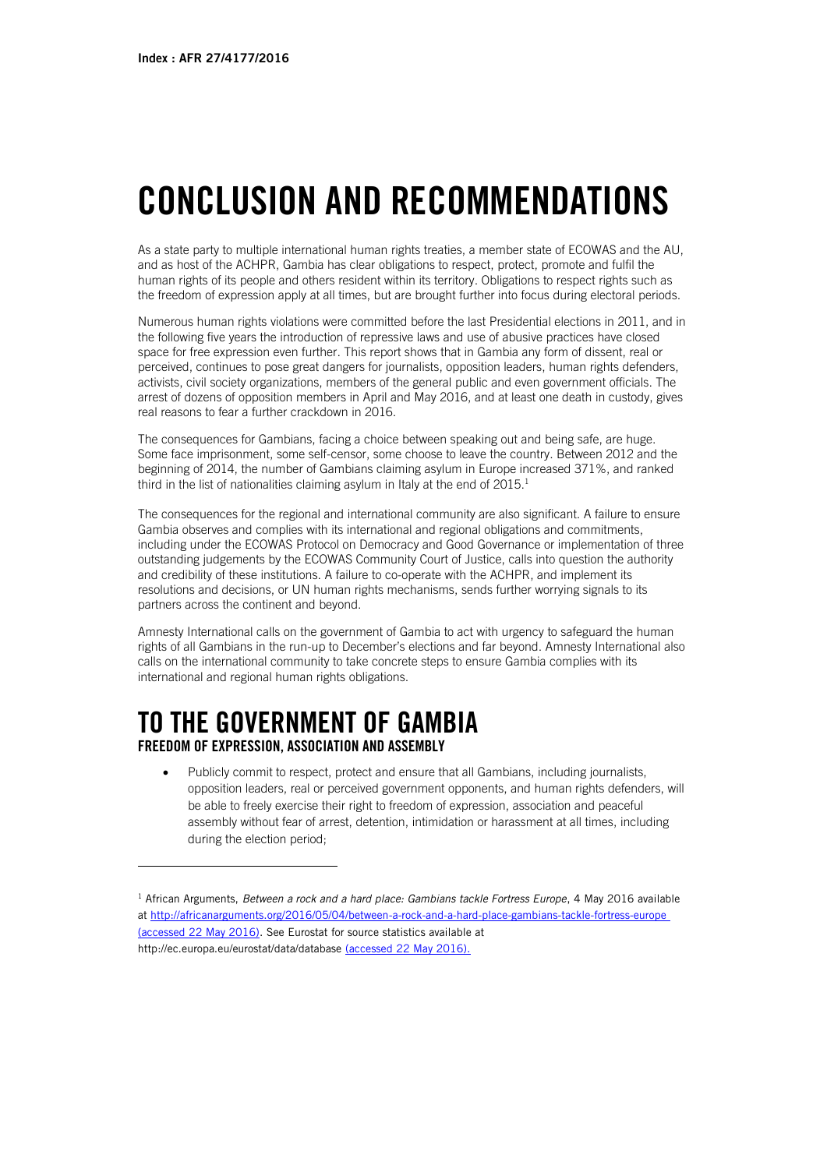# **CONCLUSION AND RECOMMENDATIONS**

As a state party to multiple international human rights treaties, a member state of ECOWAS and the AU, and as host of the ACHPR, Gambia has clear obligations to respect, protect, promote and fulfil the human rights of its people and others resident within its territory. Obligations to respect rights such as the freedom of expression apply at all times, but are brought further into focus during electoral periods.

Numerous human rights violations were committed before the last Presidential elections in 2011, and in the following five years the introduction of repressive laws and use of abusive practices have closed space for free expression even further. This report shows that in Gambia any form of dissent, real or perceived, continues to pose great dangers for journalists, opposition leaders, human rights defenders, activists, civil society organizations, members of the general public and even government officials. The arrest of dozens of opposition members in April and May 2016, and at least one death in custody, gives real reasons to fear a further crackdown in 2016.

The consequences for Gambians, facing a choice between speaking out and being safe, are huge. Some face imprisonment, some self-censor, some choose to leave the country. Between 2012 and the beginning of 2014, the number of Gambians claiming asylum in Europe increased 371%, and ranked third in the list of nationalities claiming asylum in Italy at the end of  $2015<sup>1</sup>$ 

The consequences for the regional and international community are also significant. A failure to ensure Gambia observes and complies with its international and regional obligations and commitments, including under the ECOWAS Protocol on Democracy and Good Governance or implementation of three outstanding judgements by the ECOWAS Community Court of Justice, calls into question the authority and credibility of these institutions. A failure to co-operate with the ACHPR, and implement its resolutions and decisions, or UN human rights mechanisms, sends further worrying signals to its partners across the continent and beyond.

Amnesty International calls on the government of Gambia to act with urgency to safeguard the human rights of all Gambians in the run-up to December's elections and far beyond. Amnesty International also calls on the international community to take concrete steps to ensure Gambia complies with its international and regional human rights obligations.

## **TO THE GOVERNMENT OF GAMBIA**

**FREEDOM OF EXPRESSION, ASSOCIATION AND ASSEMBLY**

j

 Publicly commit to respect, protect and ensure that all Gambians, including journalists, opposition leaders, real or perceived government opponents, and human rights defenders, will be able to freely exercise their right to freedom of expression, association and peaceful assembly without fear of arrest, detention, intimidation or harassment at all times, including during the election period;

<sup>&</sup>lt;sup>1</sup> African Arguments, *Between a rock and a hard place: Gambians tackle Fortress Europe*, 4 May 2016 available at<http://africanarguments.org/2016/05/04/between-a-rock-and-a-hard-place-gambians-tackle-fortress-europe> (accessed 22 May 2016). See Eurostat for source statistics available at http://ec.europa.eu/eurostat/data/database (accessed 22 May 2016).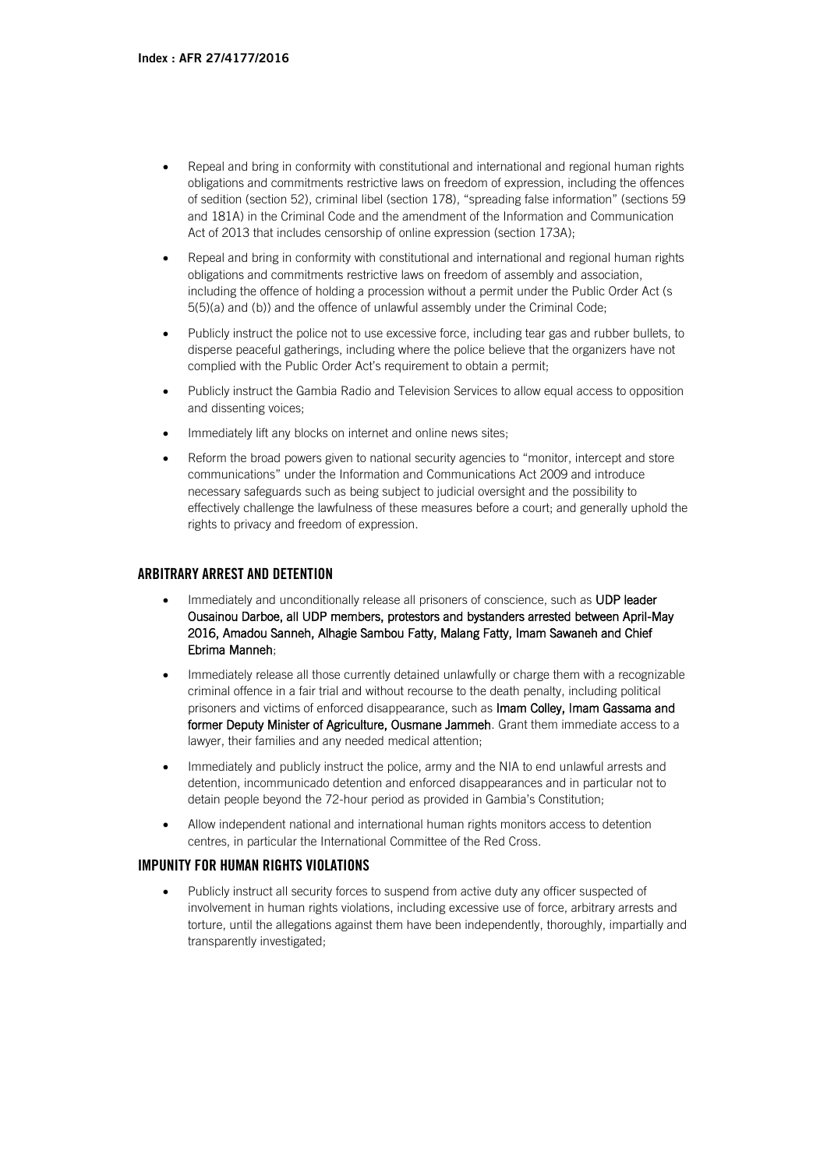- Repeal and bring in conformity with constitutional and international and regional human rights obligations and commitments restrictive laws on freedom of expression, including the offences of sedition (section 52), criminal libel (section 178), "spreading false information" (sections 59 and 181A) in the Criminal Code and the amendment of the Information and Communication Act of 2013 that includes censorship of online expression (section 173A);
- Repeal and bring in conformity with constitutional and international and regional human rights obligations and commitments restrictive laws on freedom of assembly and association, including the offence of holding a procession without a permit under the Public Order Act (s 5(5)(a) and (b)) and the offence of unlawful assembly under the Criminal Code;
- Publicly instruct the police not to use excessive force, including tear gas and rubber bullets, to disperse peaceful gatherings, including where the police believe that the organizers have not complied with the Public Order Act's requirement to obtain a permit;
- Publicly instruct the Gambia Radio and Television Services to allow equal access to opposition and dissenting voices;
- Immediately lift any blocks on internet and online news sites;
- Reform the broad powers given to national security agencies to "monitor, intercept and store communications" under the Information and Communications Act 2009 and introduce necessary safeguards such as being subject to judicial oversight and the possibility to effectively challenge the lawfulness of these measures before a court; and generally uphold the rights to privacy and freedom of expression.

#### **ARBITRARY ARREST AND DETENTION**

- Immediately and unconditionally release all prisoners of conscience, such as UDP leader Ousainou Darboe, all UDP members, protestors and bystanders arrested between April-May 2016, Amadou Sanneh, Alhagie Sambou Fatty, Malang Fatty, Imam Sawaneh and Chief Ebrima Manneh;
- Immediately release all those currently detained unlawfully or charge them with a recognizable criminal offence in a fair trial and without recourse to the death penalty, including political prisoners and victims of enforced disappearance, such as Imam Colley, Imam Gassama and former Deputy Minister of Agriculture, Ousmane Jammeh. Grant them immediate access to a lawyer, their families and any needed medical attention;
- Immediately and publicly instruct the police, army and the NIA to end unlawful arrests and detention, incommunicado detention and enforced disappearances and in particular not to detain people beyond the 72-hour period as provided in Gambia's Constitution;
- Allow independent national and international human rights monitors access to detention centres, in particular the International Committee of the Red Cross.

#### **IMPUNITY FOR HUMAN RIGHTS VIOLATIONS**

 Publicly instruct all security forces to suspend from active duty any officer suspected of involvement in human rights violations, including excessive use of force, arbitrary arrests and torture, until the allegations against them have been independently, thoroughly, impartially and transparently investigated;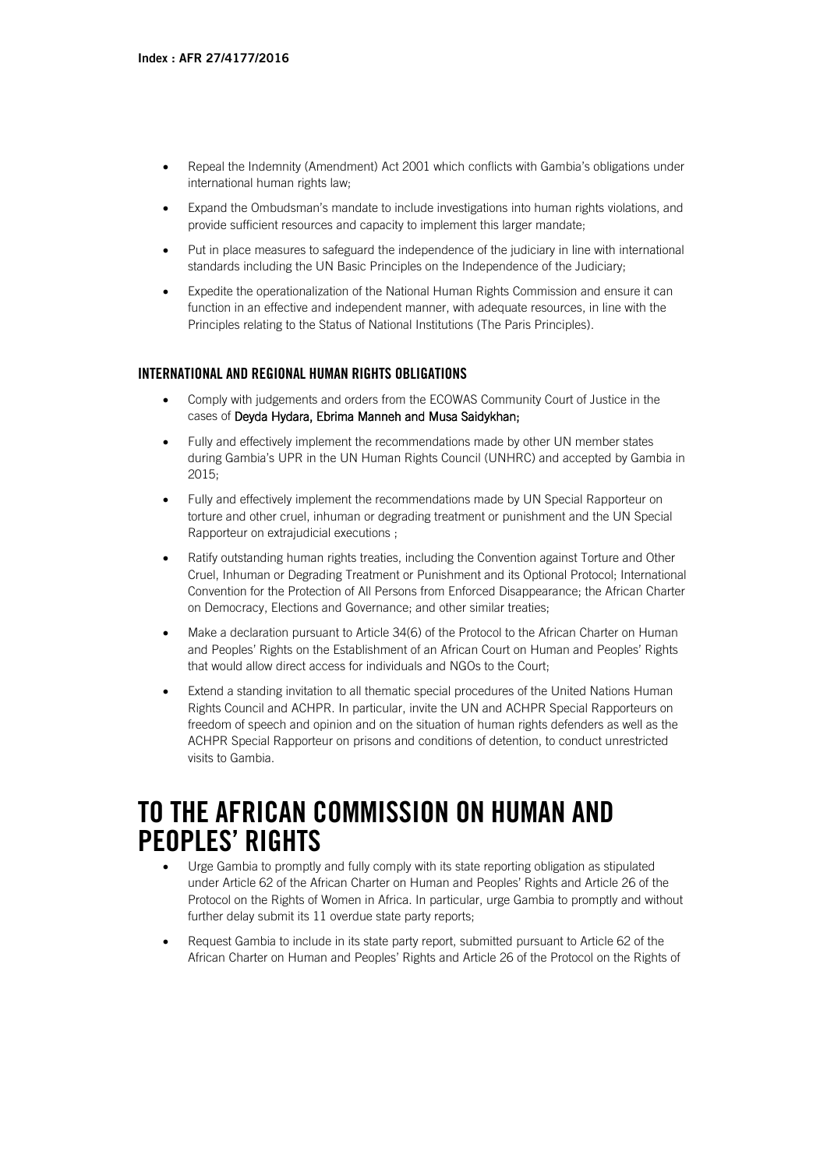- Repeal the Indemnity (Amendment) Act 2001 which conflicts with Gambia's obligations under international human rights law;
- Expand the Ombudsman's mandate to include investigations into human rights violations, and provide sufficient resources and capacity to implement this larger mandate;
- Put in place measures to safeguard the independence of the judiciary in line with international standards including the UN Basic Principles on the Independence of the Judiciary;
- Expedite the operationalization of the National Human Rights Commission and ensure it can function in an effective and independent manner, with adequate resources, in line with the Principles relating to the Status of National Institutions (The Paris Principles).

#### **INTERNATIONAL AND REGIONAL HUMAN RIGHTS OBLIGATIONS**

- Comply with judgements and orders from the ECOWAS Community Court of Justice in the cases of Deyda Hydara, Ebrima Manneh and Musa Saidykhan;
- Fully and effectively implement the recommendations made by other UN member states during Gambia's UPR in the UN Human Rights Council (UNHRC) and accepted by Gambia in 2015;
- Fully and effectively implement the recommendations made by UN Special Rapporteur on torture and other cruel, inhuman or degrading treatment or punishment and the UN Special Rapporteur on extrajudicial executions ;
- Ratify outstanding human rights treaties, including the Convention against Torture and Other Cruel, Inhuman or Degrading Treatment or Punishment and its Optional Protocol; International Convention for the Protection of All Persons from Enforced Disappearance; the African Charter on Democracy, Elections and Governance; and other similar treaties;
- Make a declaration pursuant to Article 34(6) of the Protocol to the African Charter on Human and Peoples' Rights on the Establishment of an African Court on Human and Peoples' Rights that would allow direct access for individuals and NGOs to the Court;
- Extend a standing invitation to all thematic special procedures of the United Nations Human Rights Council and ACHPR. In particular, invite the UN and ACHPR Special Rapporteurs on freedom of speech and opinion and on the situation of human rights defenders as well as the ACHPR Special Rapporteur on prisons and conditions of detention, to conduct unrestricted visits to Gambia.

### **TO THE AFRICAN COMMISSION ON HUMAN AND PEOPLES' RIGHTS**

- Urge Gambia to promptly and fully comply with its state reporting obligation as stipulated under Article 62 of the African Charter on Human and Peoples' Rights and Article 26 of the Protocol on the Rights of Women in Africa. In particular, urge Gambia to promptly and without further delay submit its 11 overdue state party reports;
- Request Gambia to include in its state party report, submitted pursuant to Article 62 of the African Charter on Human and Peoples' Rights and Article 26 of the Protocol on the Rights of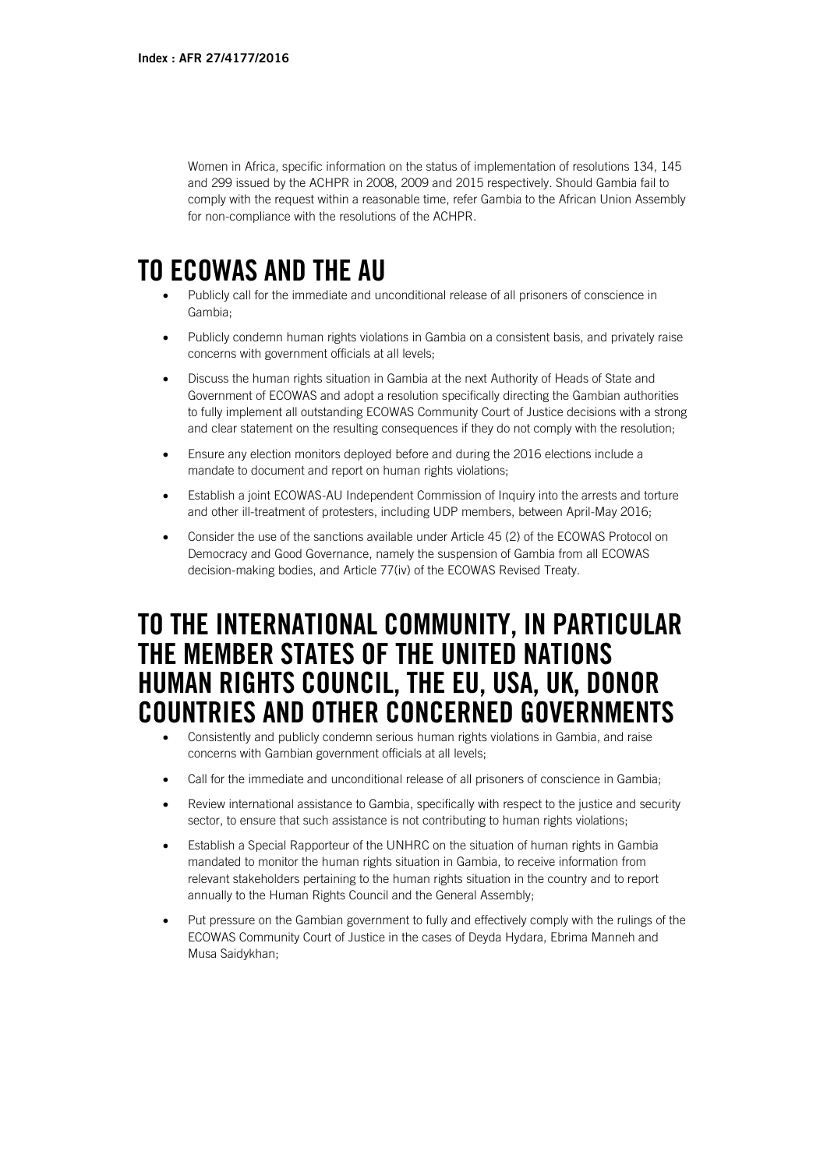Women in Africa, specific information on the status of implementation of resolutions 134, 145 and 299 issued by the ACHPR in 2008, 2009 and 2015 respectively. Should Gambia fail to comply with the request within a reasonable time, refer Gambia to the African Union Assembly for non-compliance with the resolutions of the ACHPR.

## **TO ECOWAS AND THE AU**

- Publicly call for the immediate and unconditional release of all prisoners of conscience in Gambia;
- Publicly condemn human rights violations in Gambia on a consistent basis, and privately raise concerns with government officials at all levels;
- Discuss the human rights situation in Gambia at the next Authority of Heads of State and Government of ECOWAS and adopt a resolution specifically directing the Gambian authorities to fully implement all outstanding ECOWAS Community Court of Justice decisions with a strong and clear statement on the resulting consequences if they do not comply with the resolution;
- Ensure any election monitors deployed before and during the 2016 elections include a mandate to document and report on human rights violations;
- Establish a joint ECOWAS-AU Independent Commission of Inquiry into the arrests and torture and other ill-treatment of protesters, including UDP members, between April-May 2016;
- Consider the use of the sanctions available under Article 45 (2) of the ECOWAS Protocol on Democracy and Good Governance, namely the suspension of Gambia from all ECOWAS decision-making bodies, and Article 77(iv) of the ECOWAS Revised Treaty.

## **TO THE INTERNATIONAL COMMUNITY, IN PARTICULAR THE MEMBER STATES OF THE UNITED NATIONS HUMAN RIGHTS COUNCIL, THE EU, USA, UK, DONOR COUNTRIES AND OTHER CONCERNED GOVERNMENTS**

- Consistently and publicly condemn serious human rights violations in Gambia, and raise concerns with Gambian government officials at all levels;
- Call for the immediate and unconditional release of all prisoners of conscience in Gambia;
- Review international assistance to Gambia, specifically with respect to the justice and security sector, to ensure that such assistance is not contributing to human rights violations;
- Establish a Special Rapporteur of the UNHRC on the situation of human rights in Gambia mandated to monitor the human rights situation in Gambia, to receive information from relevant stakeholders pertaining to the human rights situation in the country and to report annually to the Human Rights Council and the General Assembly;
- Put pressure on the Gambian government to fully and effectively comply with the rulings of the ECOWAS Community Court of Justice in the cases of Deyda Hydara, Ebrima Manneh and Musa Saidykhan;